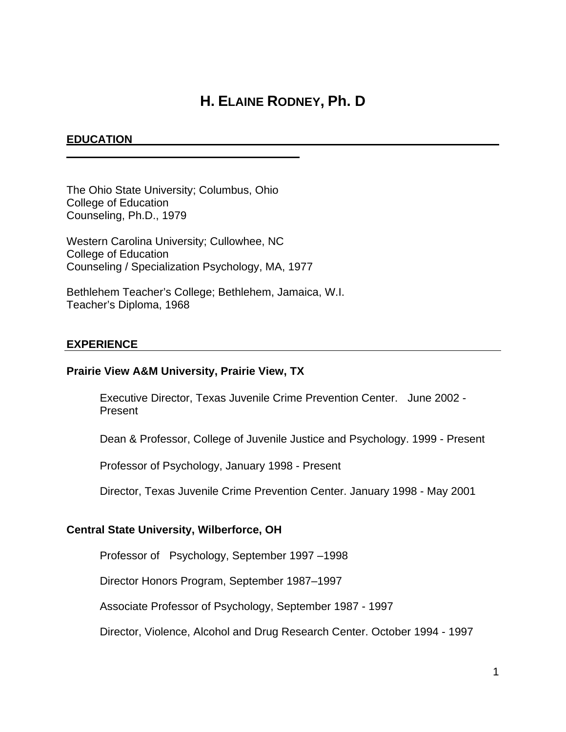# **H. ELAINE RODNEY, Ph. D**

## **EDUCATION**

The Ohio State University; Columbus, Ohio College of Education Counseling, Ph.D., 1979

Western Carolina University; Cullowhee, NC College of Education Counseling / Specialization Psychology, MA, 1977

Bethlehem Teacher's College; Bethlehem, Jamaica, W.I. Teacher's Diploma, 1968

#### **EXPERIENCE**

#### **Prairie View A&M University, Prairie View, TX**

Executive Director, Texas Juvenile Crime Prevention Center. June 2002 - Present

Dean & Professor, College of Juvenile Justice and Psychology. 1999 - Present

Professor of Psychology, January 1998 - Present

Director, Texas Juvenile Crime Prevention Center. January 1998 - May 2001

#### **Central State University, Wilberforce, OH**

Professor of Psychology, September 1997 –1998

Director Honors Program, September 1987–1997

Associate Professor of Psychology, September 1987 - 1997

Director, Violence, Alcohol and Drug Research Center. October 1994 - 1997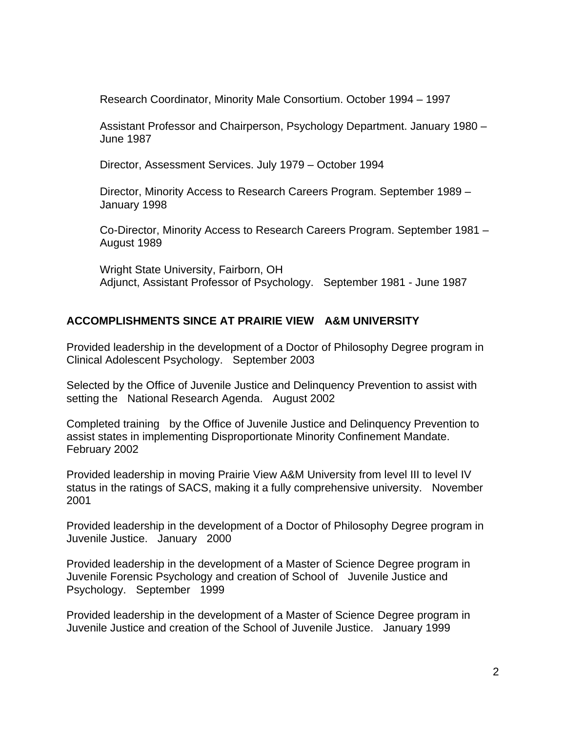Research Coordinator, Minority Male Consortium. October 1994 – 1997

Assistant Professor and Chairperson, Psychology Department. January 1980 – June 1987

Director, Assessment Services. July 1979 – October 1994

Director, Minority Access to Research Careers Program. September 1989 – January 1998

Co-Director, Minority Access to Research Careers Program. September 1981 – August 1989

Wright State University, Fairborn, OH Adjunct, Assistant Professor of Psychology. September 1981 - June 1987

# **ACCOMPLISHMENTS SINCE AT PRAIRIE VIEW A&M UNIVERSITY**

Provided leadership in the development of a Doctor of Philosophy Degree program in Clinical Adolescent Psychology. September 2003

Selected by the Office of Juvenile Justice and Delinquency Prevention to assist with setting the National Research Agenda. August 2002

Completed training by the Office of Juvenile Justice and Delinquency Prevention to assist states in implementing Disproportionate Minority Confinement Mandate. February 2002

Provided leadership in moving Prairie View A&M University from level III to level IV status in the ratings of SACS, making it a fully comprehensive university. November 2001

Provided leadership in the development of a Doctor of Philosophy Degree program in Juvenile Justice. January 2000

Provided leadership in the development of a Master of Science Degree program in Juvenile Forensic Psychology and creation of School of Juvenile Justice and Psychology. September 1999

Provided leadership in the development of a Master of Science Degree program in Juvenile Justice and creation of the School of Juvenile Justice. January 1999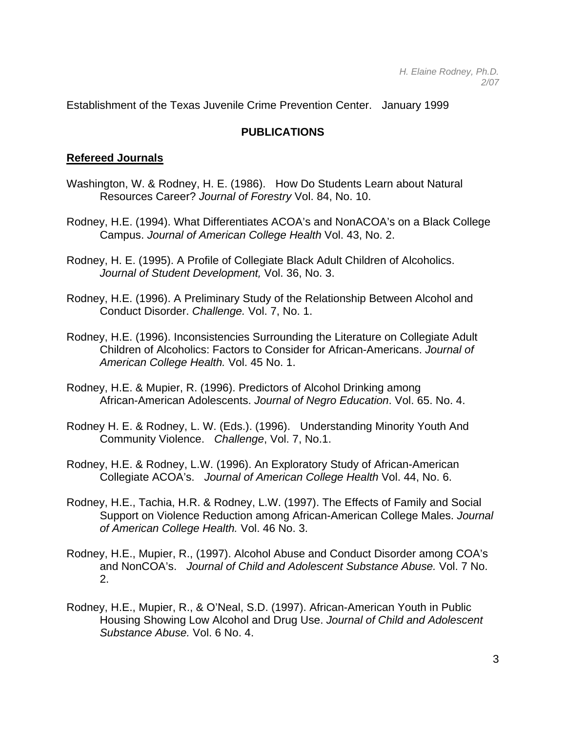Establishment of the Texas Juvenile Crime Prevention Center. January 1999

## **PUBLICATIONS**

#### **Refereed Journals**

- Washington, W. & Rodney, H. E. (1986). How Do Students Learn about Natural Resources Career? *Journal of Forestry* Vol. 84, No. 10.
- Rodney, H.E. (1994). What Differentiates ACOA's and NonACOA's on a Black College Campus. *Journal of American College Health* Vol. 43, No. 2.
- Rodney, H. E. (1995). A Profile of Collegiate Black Adult Children of Alcoholics. *Journal of Student Development,* Vol. 36, No. 3.
- Rodney, H.E. (1996). A Preliminary Study of the Relationship Between Alcohol and Conduct Disorder. *Challenge.* Vol. 7, No. 1.
- Rodney, H.E. (1996). Inconsistencies Surrounding the Literature on Collegiate Adult Children of Alcoholics: Factors to Consider for African-Americans. *Journal of American College Health.* Vol. 45 No. 1.
- Rodney, H.E. & Mupier, R. (1996). Predictors of Alcohol Drinking among African-American Adolescents. *Journal of Negro Education*. Vol. 65. No. 4.
- Rodney H. E. & Rodney, L. W. (Eds.). (1996). Understanding Minority Youth And Community Violence. *Challenge*, Vol. 7, No.1.
- Rodney, H.E. & Rodney, L.W. (1996). An Exploratory Study of African-American Collegiate ACOA's. *Journal of American College Health* Vol. 44, No. 6.
- Rodney, H.E., Tachia, H.R. & Rodney, L.W. (1997). The Effects of Family and Social Support on Violence Reduction among African-American College Males. *Journal of American College Health.* Vol. 46 No. 3.
- Rodney, H.E., Mupier, R., (1997). Alcohol Abuse and Conduct Disorder among COA's and NonCOA's. *Journal of Child and Adolescent Substance Abuse.* Vol. 7 No. 2.
- Rodney, H.E., Mupier, R., & O'Neal, S.D. (1997). African-American Youth in Public Housing Showing Low Alcohol and Drug Use. *Journal of Child and Adolescent Substance Abuse.* Vol. 6 No. 4.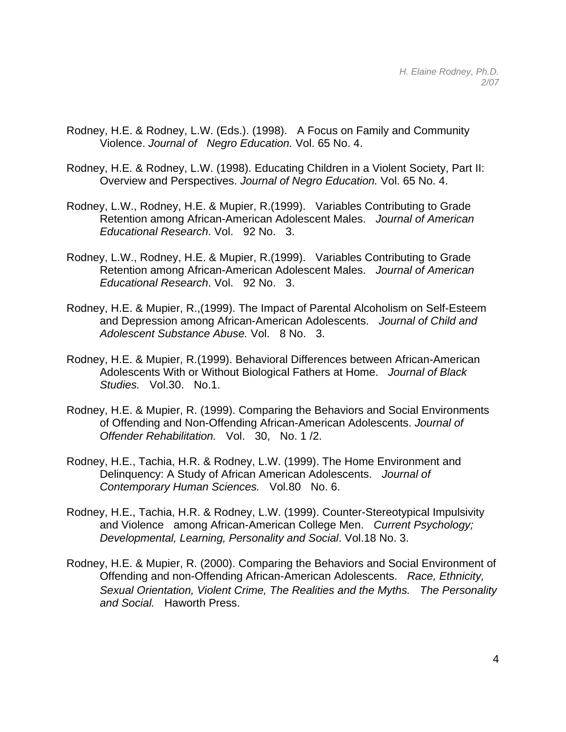- Rodney, H.E. & Rodney, L.W. (Eds.). (1998). A Focus on Family and Community Violence. *Journal of Negro Education.* Vol. 65 No. 4.
- Rodney, H.E. & Rodney, L.W. (1998). Educating Children in a Violent Society, Part II: Overview and Perspectives. *Journal of Negro Education.* Vol. 65 No. 4.
- Rodney, L.W., Rodney, H.E. & Mupier, R.(1999). Variables Contributing to Grade Retention among African-American Adolescent Males. *Journal of American Educational Research*. Vol. 92 No. 3.
- Rodney, L.W., Rodney, H.E. & Mupier, R.(1999). Variables Contributing to Grade Retention among African-American Adolescent Males. *Journal of American Educational Research*. Vol. 92 No. 3.
- Rodney, H.E. & Mupier, R.,(1999). The Impact of Parental Alcoholism on Self-Esteem and Depression among African-American Adolescents. *Journal of Child and Adolescent Substance Abuse.* Vol. 8 No. 3.
- Rodney, H.E. & Mupier, R.(1999). Behavioral Differences between African-American Adolescents With or Without Biological Fathers at Home. *Journal of Black Studies.* Vol.30. No.1.
- Rodney, H.E. & Mupier, R. (1999). Comparing the Behaviors and Social Environments of Offending and Non-Offending African-American Adolescents. *Journal of Offender Rehabilitation.* Vol. 30, No. 1 /2.
- Rodney, H.E., Tachia, H.R. & Rodney, L.W. (1999). The Home Environment and Delinquency: A Study of African American Adolescents. *Journal of Contemporary Human Sciences.* Vol.80 No. 6.
- Rodney, H.E., Tachia, H.R. & Rodney, L.W. (1999). Counter-Stereotypical Impulsivity and Violence among African-American College Men. *Current Psychology; Developmental, Learning, Personality and Social*. Vol.18 No. 3.
- Rodney, H.E. & Mupier, R. (2000). Comparing the Behaviors and Social Environment of Offending and non-Offending African-American Adolescents. *Race, Ethnicity, Sexual Orientation, Violent Crime, The Realities and the Myths. The Personality and Social.* Haworth Press.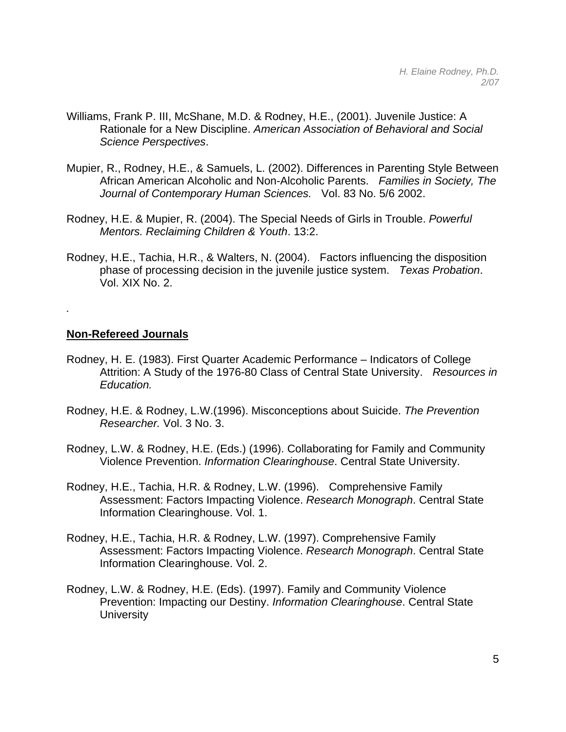- Williams, Frank P. III, McShane, M.D. & Rodney, H.E., (2001). Juvenile Justice: A Rationale for a New Discipline. *American Association of Behavioral and Social Science Perspectives*.
- Mupier, R., Rodney, H.E., & Samuels, L. (2002). Differences in Parenting Style Between African American Alcoholic and Non-Alcoholic Parents. *Families in Society, The Journal of Contemporary Human Sciences.* Vol. 83 No. 5/6 2002.
- Rodney, H.E. & Mupier, R. (2004). The Special Needs of Girls in Trouble. *Powerful Mentors. Reclaiming Children & Youth*. 13:2.
- Rodney, H.E., Tachia, H.R., & Walters, N. (2004). Factors influencing the disposition phase of processing decision in the juvenile justice system. *Texas Probation*. Vol. XIX No. 2.

## **Non-Refereed Journals**

*.* 

- Rodney, H. E. (1983). First Quarter Academic Performance Indicators of College Attrition: A Study of the 1976-80 Class of Central State University. *Resources in Education.*
- Rodney, H.E. & Rodney, L.W.(1996). Misconceptions about Suicide. *The Prevention Researcher.* Vol. 3 No. 3.
- Rodney, L.W. & Rodney, H.E. (Eds.) (1996). Collaborating for Family and Community Violence Prevention. *Information Clearinghouse*. Central State University.
- Rodney, H.E., Tachia, H.R. & Rodney, L.W. (1996). Comprehensive Family Assessment: Factors Impacting Violence. *Research Monograph*. Central State Information Clearinghouse. Vol. 1.
- Rodney, H.E., Tachia, H.R. & Rodney, L.W. (1997). Comprehensive Family Assessment: Factors Impacting Violence. *Research Monograph*. Central State Information Clearinghouse. Vol. 2.
- Rodney, L.W. & Rodney, H.E. (Eds). (1997). Family and Community Violence Prevention: Impacting our Destiny. *Information Clearinghouse*. Central State **University**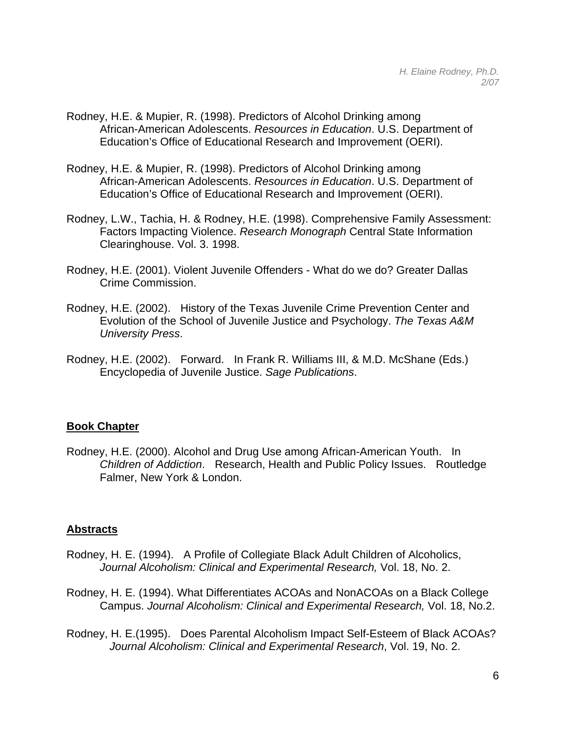- Rodney, H.E. & Mupier, R. (1998). Predictors of Alcohol Drinking among African-American Adolescents. *Resources in Education*. U.S. Department of Education's Office of Educational Research and Improvement (OERI).
- Rodney, H.E. & Mupier, R. (1998). Predictors of Alcohol Drinking among African-American Adolescents. *Resources in Education*. U.S. Department of Education's Office of Educational Research and Improvement (OERI).
- Rodney, L.W., Tachia, H. & Rodney, H.E. (1998). Comprehensive Family Assessment: Factors Impacting Violence. *Research Monograph* Central State Information Clearinghouse. Vol. 3. 1998.
- Rodney, H.E. (2001). Violent Juvenile Offenders What do we do? Greater Dallas Crime Commission.
- Rodney, H.E. (2002). History of the Texas Juvenile Crime Prevention Center and Evolution of the School of Juvenile Justice and Psychology. *The Texas A&M University Press*.
- Rodney, H.E. (2002). Forward. In Frank R. Williams III, & M.D. McShane (Eds.) Encyclopedia of Juvenile Justice. *Sage Publications*.

# **Book Chapter**

Rodney, H.E. (2000). Alcohol and Drug Use among African-American Youth. In *Children of Addiction*. Research, Health and Public Policy Issues. Routledge Falmer, New York & London.

## **Abstracts**

- Rodney, H. E. (1994). A Profile of Collegiate Black Adult Children of Alcoholics, *Journal Alcoholism: Clinical and Experimental Research,* Vol. 18, No. 2.
- Rodney, H. E. (1994). What Differentiates ACOAs and NonACOAs on a Black College Campus. *Journal Alcoholism: Clinical and Experimental Research,* Vol. 18, No.2.
- Rodney, H. E.(1995). Does Parental Alcoholism Impact Self-Esteem of Black ACOAs? *Journal Alcoholism: Clinical and Experimental Research*, Vol. 19, No. 2.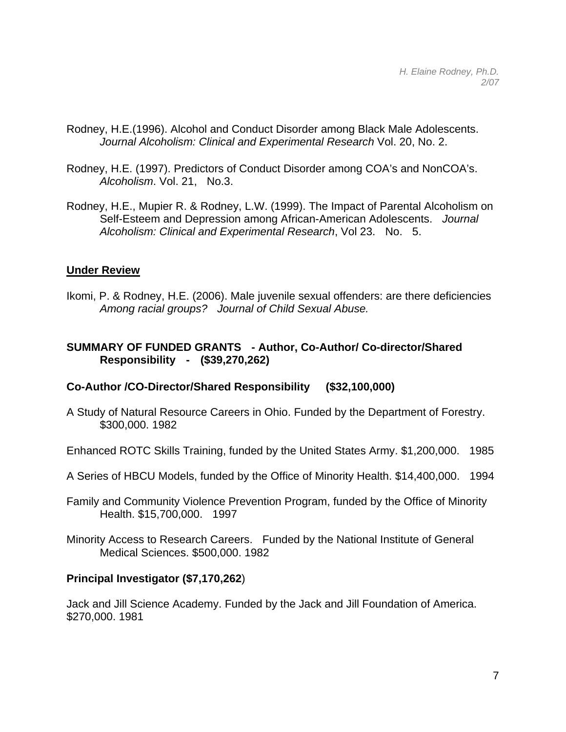- Rodney, H.E.(1996). Alcohol and Conduct Disorder among Black Male Adolescents. *Journal Alcoholism: Clinical and Experimental Research* Vol. 20, No. 2.
- Rodney, H.E. (1997). Predictors of Conduct Disorder among COA's and NonCOA's. *Alcoholism*. Vol. 21, No.3.
- Rodney, H.E., Mupier R. & Rodney, L.W. (1999). The Impact of Parental Alcoholism on Self-Esteem and Depression among African-American Adolescents. *Journal Alcoholism: Clinical and Experimental Research*, Vol 23. No. 5.

## **Under Review**

Ikomi, P. & Rodney, H.E. (2006). Male juvenile sexual offenders: are there deficiencies  *Among racial groups? Journal of Child Sexual Abuse.*

## **SUMMARY OF FUNDED GRANTS - Author, Co-Author/ Co-director/Shared Responsibility - (\$39,270,262)**

## **Co-Author /CO-Director/Shared Responsibility (\$32,100,000)**

A Study of Natural Resource Careers in Ohio. Funded by the Department of Forestry. \$300,000. 1982

Enhanced ROTC Skills Training, funded by the United States Army. \$1,200,000. 1985

- A Series of HBCU Models, funded by the Office of Minority Health. \$14,400,000. 1994
- Family and Community Violence Prevention Program, funded by the Office of Minority Health. \$15,700,000. 1997
- Minority Access to Research Careers. Funded by the National Institute of General Medical Sciences. \$500,000. 1982

## **Principal Investigator (\$7,170,262**)

Jack and Jill Science Academy. Funded by the Jack and Jill Foundation of America. \$270,000. 1981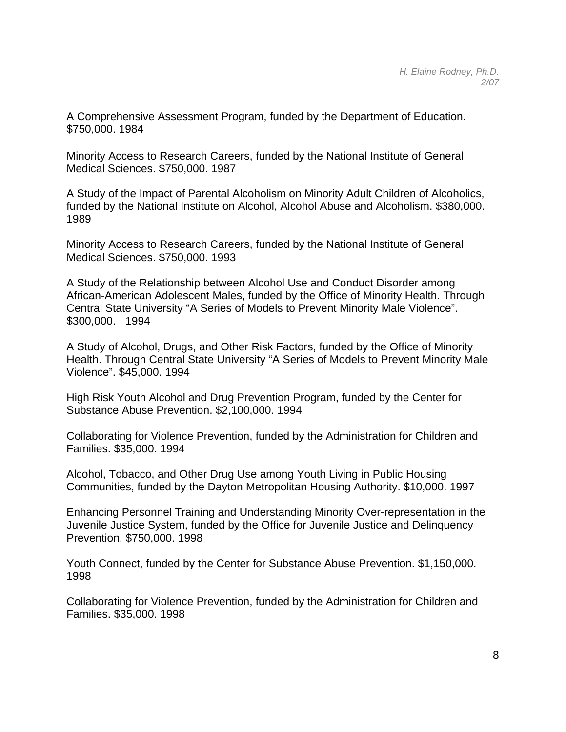A Comprehensive Assessment Program, funded by the Department of Education. \$750,000. 1984

Minority Access to Research Careers, funded by the National Institute of General Medical Sciences. \$750,000. 1987

A Study of the Impact of Parental Alcoholism on Minority Adult Children of Alcoholics, funded by the National Institute on Alcohol, Alcohol Abuse and Alcoholism. \$380,000. 1989

Minority Access to Research Careers, funded by the National Institute of General Medical Sciences. \$750,000. 1993

A Study of the Relationship between Alcohol Use and Conduct Disorder among African-American Adolescent Males, funded by the Office of Minority Health. Through Central State University "A Series of Models to Prevent Minority Male Violence". \$300,000. 1994

A Study of Alcohol, Drugs, and Other Risk Factors, funded by the Office of Minority Health. Through Central State University "A Series of Models to Prevent Minority Male Violence". \$45,000. 1994

High Risk Youth Alcohol and Drug Prevention Program, funded by the Center for Substance Abuse Prevention. \$2,100,000. 1994

Collaborating for Violence Prevention, funded by the Administration for Children and Families. \$35,000. 1994

Alcohol, Tobacco, and Other Drug Use among Youth Living in Public Housing Communities, funded by the Dayton Metropolitan Housing Authority. \$10,000. 1997

Enhancing Personnel Training and Understanding Minority Over-representation in the Juvenile Justice System, funded by the Office for Juvenile Justice and Delinquency Prevention. \$750,000. 1998

Youth Connect, funded by the Center for Substance Abuse Prevention. \$1,150,000. 1998

Collaborating for Violence Prevention, funded by the Administration for Children and Families. \$35,000. 1998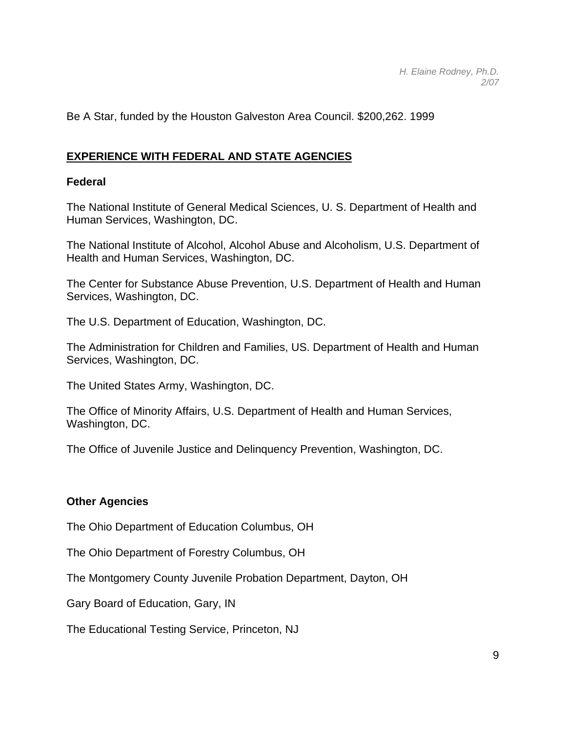Be A Star, funded by the Houston Galveston Area Council. \$200,262. 1999

# **EXPERIENCE WITH FEDERAL AND STATE AGENCIES**

## **Federal**

The National Institute of General Medical Sciences, U. S. Department of Health and Human Services, Washington, DC.

The National Institute of Alcohol, Alcohol Abuse and Alcoholism, U.S. Department of Health and Human Services, Washington, DC.

The Center for Substance Abuse Prevention, U.S. Department of Health and Human Services, Washington, DC.

The U.S. Department of Education, Washington, DC.

The Administration for Children and Families, US. Department of Health and Human Services, Washington, DC.

The United States Army, Washington, DC.

The Office of Minority Affairs, U.S. Department of Health and Human Services, Washington, DC.

The Office of Juvenile Justice and Delinquency Prevention, Washington, DC.

# **Other Agencies**

The Ohio Department of Education Columbus, OH

The Ohio Department of Forestry Columbus, OH

The Montgomery County Juvenile Probation Department, Dayton, OH

Gary Board of Education, Gary, IN

The Educational Testing Service, Princeton, NJ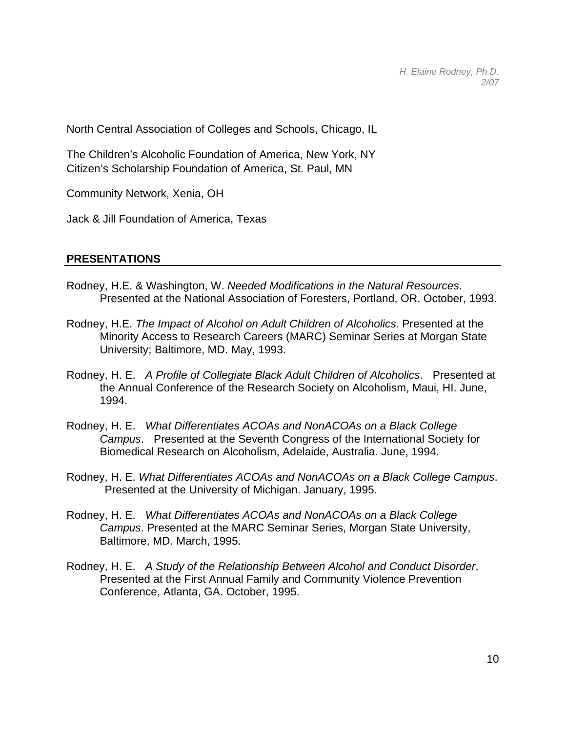North Central Association of Colleges and Schools, Chicago, IL

The Children's Alcoholic Foundation of America, New York, NY Citizen's Scholarship Foundation of America, St. Paul, MN

Community Network, Xenia, OH

Jack & Jill Foundation of America, Texas

#### **PRESENTATIONS**

- Rodney, H.E. & Washington, W. *Needed Modifications in the Natural Resources*. Presented at the National Association of Foresters, Portland, OR. October, 1993.
- Rodney, H.E. *The Impact of Alcohol on Adult Children of Alcoholics.* Presented at the Minority Access to Research Careers (MARC) Seminar Series at Morgan State University; Baltimore, MD. May, 1993.
- Rodney, H. E. *A Profile of Collegiate Black Adult Children of Alcoholics*. Presented at the Annual Conference of the Research Society on Alcoholism, Maui, HI. June, 1994.
- Rodney, H. E. *What Differentiates ACOAs and NonACOAs on a Black College Campus*. Presented at the Seventh Congress of the International Society for Biomedical Research on Alcoholism, Adelaide, Australia. June, 1994.
- Rodney, H. E. *What Differentiates ACOAs and NonACOAs on a Black College Campus*. Presented at the University of Michigan. January, 1995.
- Rodney, H. E. *What Differentiates ACOAs and NonACOAs on a Black College Campus*. Presented at the MARC Seminar Series, Morgan State University, Baltimore, MD. March, 1995.
- Rodney, H. E. *A Study of the Relationship Between Alcohol and Conduct Disorder*, Presented at the First Annual Family and Community Violence Prevention Conference, Atlanta, GA. October, 1995.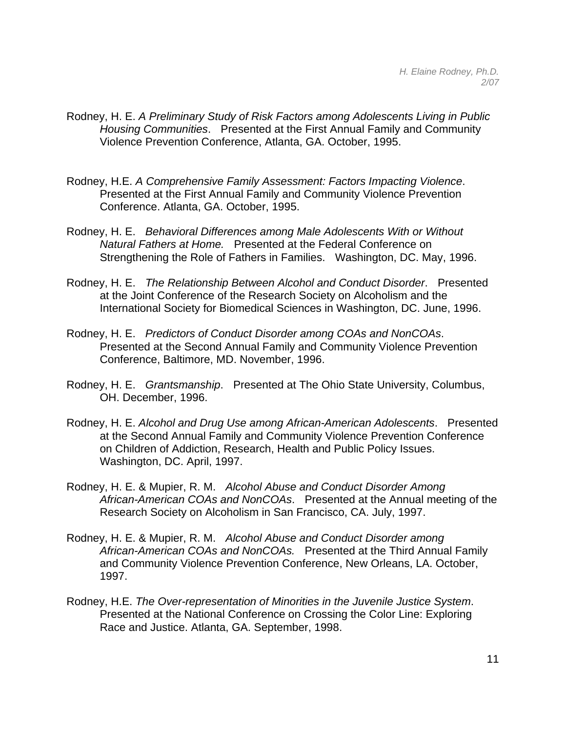- Rodney, H. E. *A Preliminary Study of Risk Factors among Adolescents Living in Public Housing Communities*. Presented at the First Annual Family and Community Violence Prevention Conference, Atlanta, GA. October, 1995.
- Rodney, H.E. *A Comprehensive Family Assessment: Factors Impacting Violence*. Presented at the First Annual Family and Community Violence Prevention Conference. Atlanta, GA. October, 1995.
- Rodney, H. E. *Behavioral Differences among Male Adolescents With or Without Natural Fathers at Home.* Presented at the Federal Conference on Strengthening the Role of Fathers in Families. Washington, DC. May, 1996.
- Rodney, H. E. *The Relationship Between Alcohol and Conduct Disorder*. Presented at the Joint Conference of the Research Society on Alcoholism and the International Society for Biomedical Sciences in Washington, DC. June, 1996.
- Rodney, H. E. *Predictors of Conduct Disorder among COAs and NonCOAs*. Presented at the Second Annual Family and Community Violence Prevention Conference, Baltimore, MD. November, 1996.
- Rodney, H. E. *Grantsmanship*. Presented at The Ohio State University, Columbus, OH. December, 1996.
- Rodney, H. E. *Alcohol and Drug Use among African-American Adolescents*. Presented at the Second Annual Family and Community Violence Prevention Conference on Children of Addiction, Research, Health and Public Policy Issues. Washington, DC. April, 1997.
- Rodney, H. E. & Mupier, R. M. *Alcohol Abuse and Conduct Disorder Among African-American COAs and NonCOAs*. Presented at the Annual meeting of the Research Society on Alcoholism in San Francisco, CA. July, 1997.
- Rodney, H. E. & Mupier, R. M. *Alcohol Abuse and Conduct Disorder among African-American COAs and NonCOAs.* Presented at the Third Annual Family and Community Violence Prevention Conference, New Orleans, LA. October, 1997.
- Rodney, H.E. *The Over-representation of Minorities in the Juvenile Justice System*. Presented at the National Conference on Crossing the Color Line: Exploring Race and Justice. Atlanta, GA. September, 1998.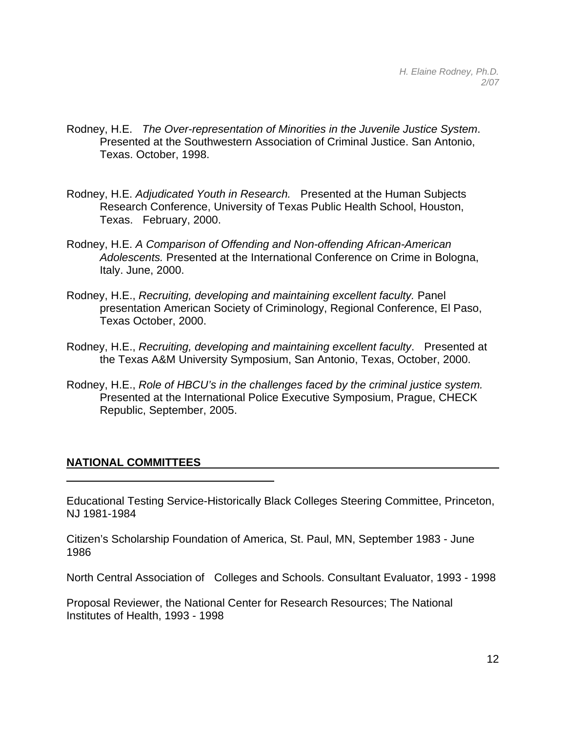- Rodney, H.E. *The Over-representation of Minorities in the Juvenile Justice System*. Presented at the Southwestern Association of Criminal Justice. San Antonio, Texas. October, 1998.
- Rodney, H.E. *Adjudicated Youth in Research.* Presented at the Human Subjects Research Conference, University of Texas Public Health School, Houston, Texas. February, 2000.
- Rodney, H.E. *A Comparison of Offending and Non-offending African-American Adolescents.* Presented at the International Conference on Crime in Bologna, Italy. June, 2000.
- Rodney, H.E., *Recruiting, developing and maintaining excellent faculty.* Panel presentation American Society of Criminology, Regional Conference, El Paso, Texas October, 2000.
- Rodney, H.E., *Recruiting, developing and maintaining excellent faculty*. Presented at the Texas A&M University Symposium, San Antonio, Texas, October, 2000.
- Rodney, H.E., *Role of HBCU's in the challenges faced by the criminal justice system.*  Presented at the International Police Executive Symposium, Prague, CHECK Republic, September, 2005.

## **NATIONAL COMMITTEES**

Educational Testing Service-Historically Black Colleges Steering Committee, Princeton, NJ 1981-1984

Citizen's Scholarship Foundation of America, St. Paul, MN, September 1983 - June 1986

North Central Association of Colleges and Schools. Consultant Evaluator, 1993 - 1998

Proposal Reviewer, the National Center for Research Resources; The National Institutes of Health, 1993 - 1998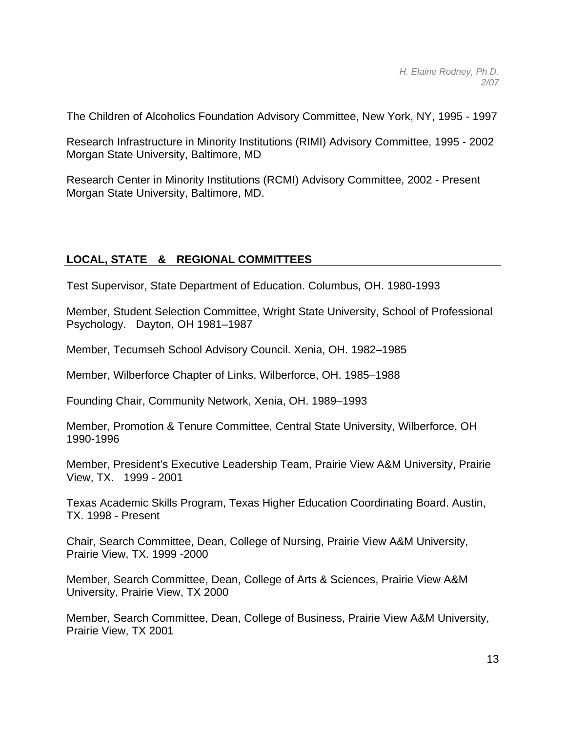The Children of Alcoholics Foundation Advisory Committee, New York, NY, 1995 - 1997

Research Infrastructure in Minority Institutions (RIMI) Advisory Committee, 1995 - 2002 Morgan State University, Baltimore, MD

Research Center in Minority Institutions (RCMI) Advisory Committee, 2002 - Present Morgan State University, Baltimore, MD.

# **LOCAL, STATE & REGIONAL COMMITTEES**

Test Supervisor, State Department of Education. Columbus, OH. 1980-1993

Member, Student Selection Committee, Wright State University, School of Professional Psychology. Dayton, OH 1981–1987

Member, Tecumseh School Advisory Council. Xenia, OH. 1982–1985

Member, Wilberforce Chapter of Links. Wilberforce, OH. 1985–1988

Founding Chair, Community Network, Xenia, OH. 1989–1993

Member, Promotion & Tenure Committee, Central State University, Wilberforce, OH 1990-1996

Member, President's Executive Leadership Team, Prairie View A&M University, Prairie View, TX. 1999 - 2001

Texas Academic Skills Program, Texas Higher Education Coordinating Board. Austin, TX. 1998 - Present

Chair, Search Committee, Dean, College of Nursing, Prairie View A&M University, Prairie View, TX. 1999 -2000

Member, Search Committee, Dean, College of Arts & Sciences, Prairie View A&M University, Prairie View, TX 2000

Member, Search Committee, Dean, College of Business, Prairie View A&M University, Prairie View, TX 2001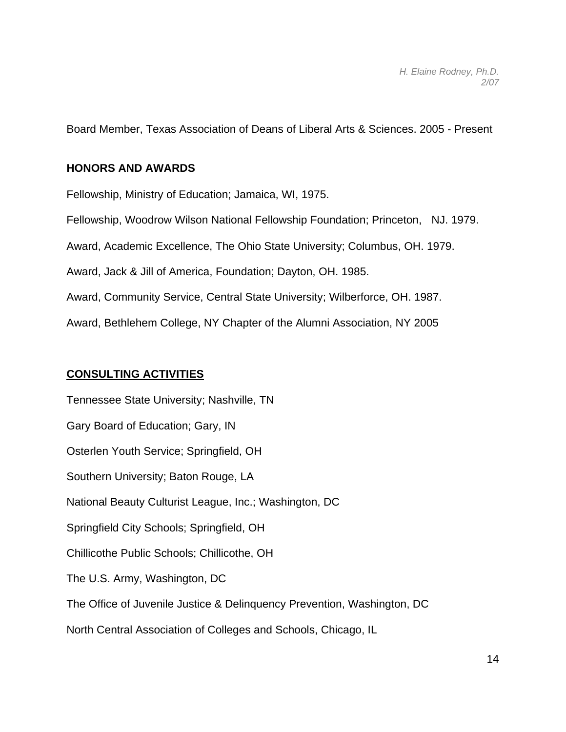Board Member, Texas Association of Deans of Liberal Arts & Sciences. 2005 - Present

## **HONORS AND AWARDS**

Fellowship, Ministry of Education; Jamaica, WI, 1975. Fellowship, Woodrow Wilson National Fellowship Foundation; Princeton, NJ. 1979. Award, Academic Excellence, The Ohio State University; Columbus, OH. 1979. Award, Jack & Jill of America, Foundation; Dayton, OH. 1985. Award, Community Service, Central State University; Wilberforce, OH. 1987. Award, Bethlehem College, NY Chapter of the Alumni Association, NY 2005

## **CONSULTING ACTIVITIES**

Tennessee State University; Nashville, TN Gary Board of Education; Gary, IN Osterlen Youth Service; Springfield, OH Southern University; Baton Rouge, LA National Beauty Culturist League, Inc.; Washington, DC Springfield City Schools; Springfield, OH Chillicothe Public Schools; Chillicothe, OH The U.S. Army, Washington, DC The Office of Juvenile Justice & Delinquency Prevention, Washington, DC North Central Association of Colleges and Schools, Chicago, IL